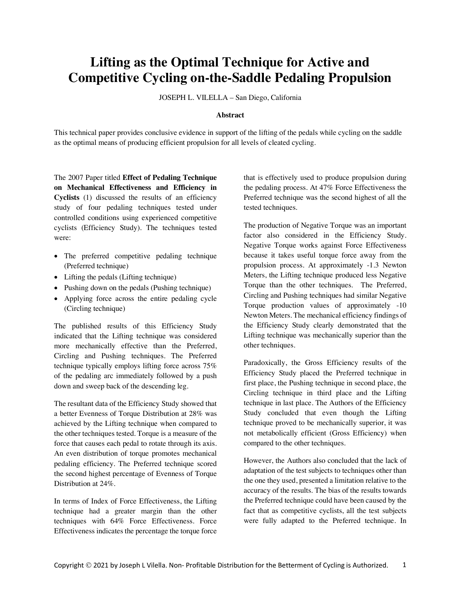# **Lifting as the Optimal Technique for Active and Competitive Cycling on-the-Saddle Pedaling Propulsion**

JOSEPH L. VILELLA – San Diego, California

#### **Abstract**

This technical paper provides conclusive evidence in support of the lifting of the pedals while cycling on the saddle as the optimal means of producing efficient propulsion for all levels of cleated cycling.

The 2007 Paper titled **Effect of Pedaling Technique on Mechanical Effectiveness and Efficiency in Cyclists** (1) discussed the results of an efficiency study of four pedaling techniques tested under controlled conditions using experienced competitive cyclists (Efficiency Study). The techniques tested were:

- The preferred competitive pedaling technique (Preferred technique)
- Lifting the pedals (Lifting technique)
- Pushing down on the pedals (Pushing technique)
- Applying force across the entire pedaling cycle (Circling technique)

The published results of this Efficiency Study indicated that the Lifting technique was considered more mechanically effective than the Preferred, Circling and Pushing techniques. The Preferred technique typically employs lifting force across 75% of the pedaling arc immediately followed by a push down and sweep back of the descending leg.

The resultant data of the Efficiency Study showed that a better Evenness of Torque Distribution at 28% was achieved by the Lifting technique when compared to the other techniques tested. Torque is a measure of the force that causes each pedal to rotate through its axis. An even distribution of torque promotes mechanical pedaling efficiency. The Preferred technique scored the second highest percentage of Evenness of Torque Distribution at 24%.

In terms of Index of Force Effectiveness, the Lifting technique had a greater margin than the other techniques with 64% Force Effectiveness. Force Effectiveness indicates the percentage the torque force

that is effectively used to produce propulsion during the pedaling process. At 47% Force Effectiveness the Preferred technique was the second highest of all the tested techniques.

The production of Negative Torque was an important factor also considered in the Efficiency Study. Negative Torque works against Force Effectiveness because it takes useful torque force away from the propulsion process. At approximately -1.3 Newton Meters, the Lifting technique produced less Negative Torque than the other techniques. The Preferred, Circling and Pushing techniques had similar Negative Torque production values of approximately -10 Newton Meters. The mechanical efficiency findings of the Efficiency Study clearly demonstrated that the Lifting technique was mechanically superior than the other techniques.

Paradoxically, the Gross Efficiency results of the Efficiency Study placed the Preferred technique in first place, the Pushing technique in second place, the Circling technique in third place and the Lifting technique in last place. The Authors of the Efficiency Study concluded that even though the Lifting technique proved to be mechanically superior, it was not metabolically efficient (Gross Efficiency) when compared to the other techniques.

However, the Authors also concluded that the lack of adaptation of the test subjects to techniques other than the one they used, presented a limitation relative to the accuracy of the results. The bias of the results towards the Preferred technique could have been caused by the fact that as competitive cyclists, all the test subjects were fully adapted to the Preferred technique. In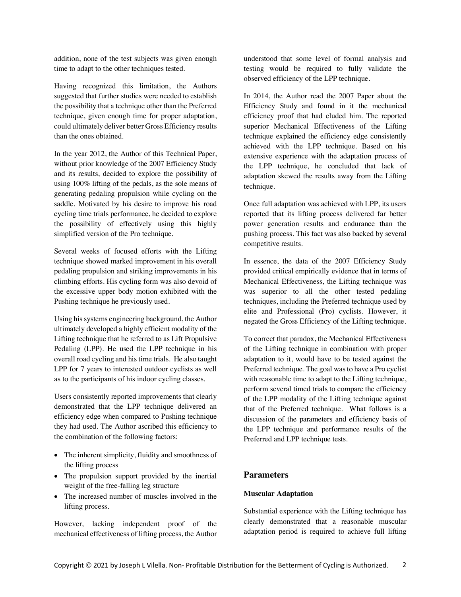addition, none of the test subjects was given enough time to adapt to the other techniques tested.

Having recognized this limitation, the Authors suggested that further studies were needed to establish the possibility that a technique other than the Preferred technique, given enough time for proper adaptation, could ultimately deliver better Gross Efficiency results than the ones obtained.

In the year 2012, the Author of this Technical Paper, without prior knowledge of the 2007 Efficiency Study and its results, decided to explore the possibility of using 100% lifting of the pedals, as the sole means of generating pedaling propulsion while cycling on the saddle. Motivated by his desire to improve his road cycling time trials performance, he decided to explore the possibility of effectively using this highly simplified version of the Pro technique.

Several weeks of focused efforts with the Lifting technique showed marked improvement in his overall pedaling propulsion and striking improvements in his climbing efforts. His cycling form was also devoid of the excessive upper body motion exhibited with the Pushing technique he previously used.

Using hissystems engineering background, the Author ultimately developed a highly efficient modality of the Lifting technique that he referred to as Lift Propulsive Pedaling (LPP). He used the LPP technique in his overall road cycling and his time trials. He also taught LPP for 7 years to interested outdoor cyclists as well as to the participants of his indoor cycling classes.

Users consistently reported improvements that clearly demonstrated that the LPP technique delivered an efficiency edge when compared to Pushing technique they had used. The Author ascribed this efficiency to the combination of the following factors:

- The inherent simplicity, fluidity and smoothness of the lifting process
- The propulsion support provided by the inertial weight of the free-falling leg structure
- The increased number of muscles involved in the lifting process.

However, lacking independent proof of the mechanical effectiveness of lifting process, the Author

understood that some level of formal analysis and testing would be required to fully validate the observed efficiency of the LPP technique.

In 2014, the Author read the 2007 Paper about the Efficiency Study and found in it the mechanical efficiency proof that had eluded him. The reported superior Mechanical Effectiveness of the Lifting technique explained the efficiency edge consistently achieved with the LPP technique. Based on his extensive experience with the adaptation process of the LPP technique, he concluded that lack of adaptation skewed the results away from the Lifting technique.

Once full adaptation was achieved with LPP, its users reported that its lifting process delivered far better power generation results and endurance than the pushing process. This fact was also backed by several competitive results.

In essence, the data of the 2007 Efficiency Study provided critical empirically evidence that in terms of Mechanical Effectiveness, the Lifting technique was was superior to all the other tested pedaling techniques, including the Preferred technique used by elite and Professional (Pro) cyclists. However, it negated the Gross Efficiency of the Lifting technique.

To correct that paradox, the Mechanical Effectiveness of the Lifting technique in combination with proper adaptation to it, would have to be tested against the Preferred technique. The goal was to have a Pro cyclist with reasonable time to adapt to the Lifting technique, perform several timed trials to compare the efficiency of the LPP modality of the Lifting technique against that of the Preferred technique. What follows is a discussion of the parameters and efficiency basis of the LPP technique and performance results of the Preferred and LPP technique tests.

# **Parameters**

## **Muscular Adaptation**

Substantial experience with the Lifting technique has clearly demonstrated that a reasonable muscular adaptation period is required to achieve full lifting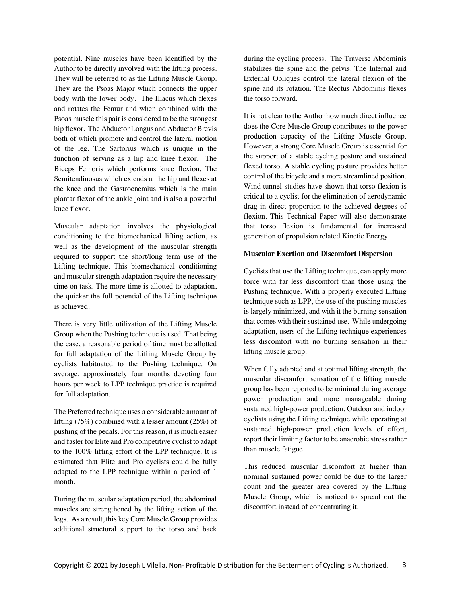potential. Nine muscles have been identified by the Author to be directly involved with the lifting process. They will be referred to as the Lifting Muscle Group. They are the Psoas Major which connects the upper body with the lower body. The Iliacus which flexes and rotates the Femur and when combined with the Psoas muscle this pair is considered to be the strongest hip flexor. The Abductor Longus and Abductor Brevis both of which promote and control the lateral motion of the leg. The Sartorius which is unique in the function of serving as a hip and knee flexor. The Biceps Femoris which performs knee flexion. The Semitendinosus which extends at the hip and flexes at the knee and the Gastrocnemius which is the main plantar flexor of the ankle joint and is also a powerful knee flexor.

Muscular adaptation involves the physiological conditioning to the biomechanical lifting action, as well as the development of the muscular strength required to support the short/long term use of the Lifting technique. This biomechanical conditioning and muscular strength adaptation require the necessary time on task. The more time is allotted to adaptation, the quicker the full potential of the Lifting technique is achieved.

There is very little utilization of the Lifting Muscle Group when the Pushing technique is used. That being the case, a reasonable period of time must be allotted for full adaptation of the Lifting Muscle Group by cyclists habituated to the Pushing technique. On average, approximately four months devoting four hours per week to LPP technique practice is required for full adaptation.

The Preferred technique uses a considerable amount of lifting (75%) combined with a lesser amount (25%) of pushing of the pedals. For this reason, it is much easier and faster for Elite and Pro competitive cyclist to adapt to the 100% lifting effort of the LPP technique. It is estimated that Elite and Pro cyclists could be fully adapted to the LPP technique within a period of 1 month.

During the muscular adaptation period, the abdominal muscles are strengthened by the lifting action of the legs. As a result, this key Core Muscle Group provides additional structural support to the torso and back

during the cycling process. The Traverse Abdominis stabilizes the spine and the pelvis. The Internal and External Obliques control the lateral flexion of the spine and its rotation. The Rectus Abdominis flexes the torso forward.

It is not clear to the Author how much direct influence does the Core Muscle Group contributes to the power production capacity of the Lifting Muscle Group. However, a strong Core Muscle Group is essential for the support of a stable cycling posture and sustained flexed torso. A stable cycling posture provides better control of the bicycle and a more streamlined position. Wind tunnel studies have shown that torso flexion is critical to a cyclist for the elimination of aerodynamic drag in direct proportion to the achieved degrees of flexion. This Technical Paper will also demonstrate that torso flexion is fundamental for increased generation of propulsion related Kinetic Energy.

## **Muscular Exertion and Discomfort Dispersion**

Cyclists that use the Lifting technique, can apply more force with far less discomfort than those using the Pushing technique. With a properly executed Lifting technique such as LPP, the use of the pushing muscles is largely minimized, and with it the burning sensation that comes with their sustained use. While undergoing adaptation, users of the Lifting technique experiences less discomfort with no burning sensation in their lifting muscle group.

When fully adapted and at optimal lifting strength, the muscular discomfort sensation of the lifting muscle group has been reported to be minimal during average power production and more manageable during sustained high-power production. Outdoor and indoor cyclists using the Lifting technique while operating at sustained high-power production levels of effort, report their limiting factor to be anaerobic stress rather than muscle fatigue.

This reduced muscular discomfort at higher than nominal sustained power could be due to the larger count and the greater area covered by the Lifting Muscle Group, which is noticed to spread out the discomfort instead of concentrating it.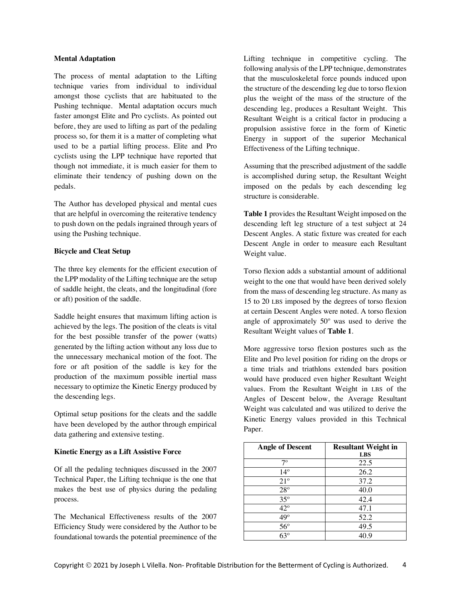## **Mental Adaptation**

The process of mental adaptation to the Lifting technique varies from individual to individual amongst those cyclists that are habituated to the Pushing technique. Mental adaptation occurs much faster amongst Elite and Pro cyclists. As pointed out before, they are used to lifting as part of the pedaling process so, for them it is a matter of completing what used to be a partial lifting process. Elite and Pro cyclists using the LPP technique have reported that though not immediate, it is much easier for them to eliminate their tendency of pushing down on the pedals.

The Author has developed physical and mental cues that are helpful in overcoming the reiterative tendency to push down on the pedals ingrained through years of using the Pushing technique.

## **Bicycle and Cleat Setup**

The three key elements for the efficient execution of the LPP modality of the Lifting technique are the setup of saddle height, the cleats, and the longitudinal (fore or aft) position of the saddle.

Saddle height ensures that maximum lifting action is achieved by the legs. The position of the cleats is vital for the best possible transfer of the power (watts) generated by the lifting action without any loss due to the unnecessary mechanical motion of the foot. The fore or aft position of the saddle is key for the production of the maximum possible inertial mass necessary to optimize the Kinetic Energy produced by the descending legs.

Optimal setup positions for the cleats and the saddle have been developed by the author through empirical data gathering and extensive testing.

## **Kinetic Energy as a Lift Assistive Force**

Of all the pedaling techniques discussed in the 2007 Technical Paper, the Lifting technique is the one that makes the best use of physics during the pedaling process.

The Mechanical Effectiveness results of the 2007 Efficiency Study were considered by the Author to be foundational towards the potential preeminence of the Lifting technique in competitive cycling. The following analysis of the LPP technique, demonstrates that the musculoskeletal force pounds induced upon the structure of the descending leg due to torso flexion plus the weight of the mass of the structure of the descending leg, produces a Resultant Weight. This Resultant Weight is a critical factor in producing a propulsion assistive force in the form of Kinetic Energy in support of the superior Mechanical Effectiveness of the Lifting technique.

Assuming that the prescribed adjustment of the saddle is accomplished during setup, the Resultant Weight imposed on the pedals by each descending leg structure is considerable.

**Table 1** provides the Resultant Weight imposed on the descending left leg structure of a test subject at 24 Descent Angles. A static fixture was created for each Descent Angle in order to measure each Resultant Weight value.

Torso flexion adds a substantial amount of additional weight to the one that would have been derived solely from the mass of descending leg structure. As many as 15 to 20 LBS imposed by the degrees of torso flexion at certain Descent Angles were noted. A torso flexion angle of approximately 50º was used to derive the Resultant Weight values of **Table 1**.

More aggressive torso flexion postures such as the Elite and Pro level position for riding on the drops or a time trials and triathlons extended bars position would have produced even higher Resultant Weight values. From the Resultant Weight in LBS of the Angles of Descent below, the Average Resultant Weight was calculated and was utilized to derive the Kinetic Energy values provided in this Technical Paper.

| <b>Angle of Descent</b> | <b>Resultant Weight in</b> |
|-------------------------|----------------------------|
|                         | <b>LBS</b>                 |
| 70                      | 22.5                       |
| $14^{\circ}$            | 26.2                       |
| $21^{\circ}$            | 37.2                       |
| $28^{\circ}$            | 40.0                       |
| $35^{\circ}$            | 42.4                       |
| $42^{\circ}$            | 47.1                       |
| 49°                     | 52.2                       |
| $56^{\circ}$            | 49.5                       |
| $63^\circ$              | 40.9                       |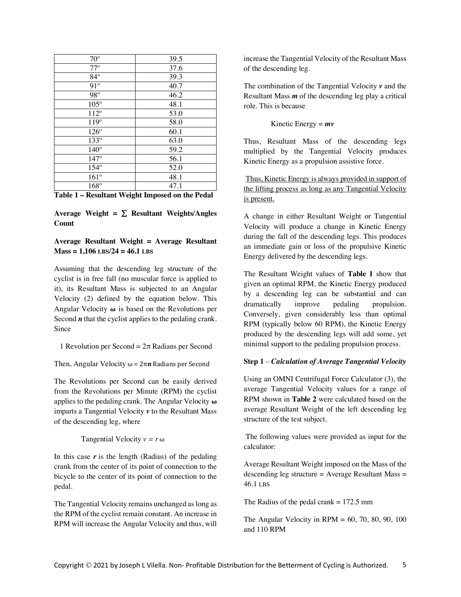| $70^{\circ}$  | 39.5 |
|---------------|------|
| $77^{\circ}$  | 37.6 |
| $84^\circ$    | 39.3 |
| $91^\circ$    | 40.7 |
| $98^\circ$    | 46.2 |
| $105^\circ$   | 48.1 |
| $112^{\circ}$ | 53.0 |
| $119^\circ$   | 58.0 |
| $126^\circ$   | 60.1 |
| 133°          | 63.0 |
| $140^\circ$   | 59.2 |
| $147^\circ$   | 56.1 |
| $154^\circ$   | 52.0 |
| $161^\circ$   | 48.1 |
| 168°          | 47.1 |

Average Weight  $= \sum$  Resultant Weights/Angles **Count**

# **Average Resultant Weight = Average Resultant Mass = 1,106 LBS/24 = 46.1 LBS**

Assuming that the descending leg structure of the cyclist is in free fall (no muscular force is applied to it), its Resultant Mass is subjected to an Angular Velocity (2) defined by the equation below. This Angular Velocity **ω** is based on the Revolutions per Second *n* that the cyclist applies to the pedaling crank. Since

1 Revolution per Second =  $2\pi$  Radians per Second

Then, Angular Velocity  $\omega = 2\pi n$  Radians per Second

The Revolutions per Second can be easily derived from the Revolutions per Minute (RPM) the cyclist applies to the pedaling crank. The Angular Velocity **ω** imparts a Tangential Velocity *v* to the Resultant Mass of the descending leg, where

Tangential Velocity  $v = r \omega$ 

In this case  $r$  is the length (Radius) of the pedaling crank from the center of its point of connection to the bicycle to the center of its point of connection to the pedal.

The Tangential Velocity remains unchanged as long as the RPM of the cyclist remain constant. An increase in RPM will increase the Angular Velocity and thus, will

increase the Tangential Velocity of the Resultant Mass of the descending leg.

The combination of the Tangential Velocity *v* and the Resultant Mass *m* of the descending leg play a critical role. This is because

Kinetic Energy = *mv*

Thus, Resultant Mass of the descending legs multiplied by the Tangential Velocity produces Kinetic Energy as a propulsion assistive force.

Thus, Kinetic Energy is always provided in support of the lifting process as long as any Tangential Velocity is present.

A change in either Resultant Weight or Tangential Velocity will produce a change in Kinetic Energy during the fall of the descending legs. This produces an immediate gain or loss of the propulsive Kinetic Energy delivered by the descending legs.

The Resultant Weight values of **Table 1** show that given an optimal RPM, the Kinetic Energy produced by a descending leg can be substantial and can dramatically improve pedaling propulsion. Conversely, given considerably less than optimal RPM (typically below 60 RPM), the Kinetic Energy produced by the descending legs will add some, yet minimal support to the pedaling propulsion process.

# **Step 1** – *Calculation of Average Tangential Velocity*

Using an OMNI Centrifugal Force Calculator (3), the average Tangential Velocity values for a range of RPM shown in **Table 2** were calculated based on the average Resultant Weight of the left descending leg structure of the test subject.

The following values were provided as input for the calculator:

Average Resultant Weight imposed on the Mass of the descending leg structure  $=$  Average Resultant Mass  $=$ 46.1 LBS

The Radius of the pedal crank  $= 172.5$  mm

The Angular Velocity in  $RPM = 60, 70, 80, 90, 100$ and 110 RPM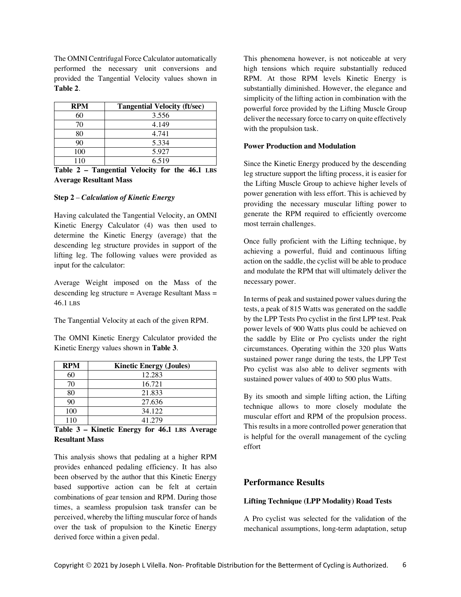The OMNI Centrifugal Force Calculator automatically performed the necessary unit conversions and provided the Tangential Velocity values shown in **Table 2**.

| <b>RPM</b> | <b>Tangential Velocity (ft/sec)</b> |
|------------|-------------------------------------|
| 60         | 3.556                               |
| 70         | 4.149                               |
| 80         | 4.741                               |
| 90         | 5.334                               |
| 100        | 5.927                               |
| 110        | 6.519                               |

**Table 2 – Tangential Velocity for the 46.1 LBS Average Resultant Mass**

### **Step 2** – *Calculation of Kinetic Energy*

Having calculated the Tangential Velocity, an OMNI Kinetic Energy Calculator (4) was then used to determine the Kinetic Energy (average) that the descending leg structure provides in support of the lifting leg. The following values were provided as input for the calculator:

Average Weight imposed on the Mass of the descending leg structure  $=$  Average Resultant Mass  $=$ 46.1 LBS

The Tangential Velocity at each of the given RPM.

The OMNI Kinetic Energy Calculator provided the Kinetic Energy values shown in **Table 3**.

| <b>RPM</b> | <b>Kinetic Energy (Joules)</b> |
|------------|--------------------------------|
| 60         | 12.283                         |
| 70         | 16.721                         |
| 80         | 21.833                         |
| 90         | 27.636                         |
| 100        | 34.122                         |
| 110        | 41.279                         |

**Table 3 – Kinetic Energy for 46.1 LBS Average Resultant Mass**

This analysis shows that pedaling at a higher RPM provides enhanced pedaling efficiency. It has also been observed by the author that this Kinetic Energy based supportive action can be felt at certain combinations of gear tension and RPM. During those times, a seamless propulsion task transfer can be perceived, whereby the lifting muscular force of hands over the task of propulsion to the Kinetic Energy derived force within a given pedal.

This phenomena however, is not noticeable at very high tensions which require substantially reduced RPM. At those RPM levels Kinetic Energy is substantially diminished. However, the elegance and simplicity of the lifting action in combination with the powerful force provided by the Lifting Muscle Group deliver the necessary force to carry on quite effectively with the propulsion task.

## **Power Production and Modulation**

Since the Kinetic Energy produced by the descending leg structure support the lifting process, it is easier for the Lifting Muscle Group to achieve higher levels of power generation with less effort. This is achieved by providing the necessary muscular lifting power to generate the RPM required to efficiently overcome most terrain challenges.

Once fully proficient with the Lifting technique, by achieving a powerful, fluid and continuous lifting action on the saddle, the cyclist will be able to produce and modulate the RPM that will ultimately deliver the necessary power.

In terms of peak and sustained power values during the tests, a peak of 815 Watts was generated on the saddle by the LPP Tests Pro cyclist in the first LPP test. Peak power levels of 900 Watts plus could be achieved on the saddle by Elite or Pro cyclists under the right circumstances. Operating within the 320 plus Watts sustained power range during the tests, the LPP Test Pro cyclist was also able to deliver segments with sustained power values of 400 to 500 plus Watts.

By its smooth and simple lifting action, the Lifting technique allows to more closely modulate the muscular effort and RPM of the propulsion process. This results in a more controlled power generation that is helpful for the overall management of the cycling effort

# **Performance Results**

## **Lifting Technique (LPP Modality) Road Tests**

A Pro cyclist was selected for the validation of the mechanical assumptions, long-term adaptation, setup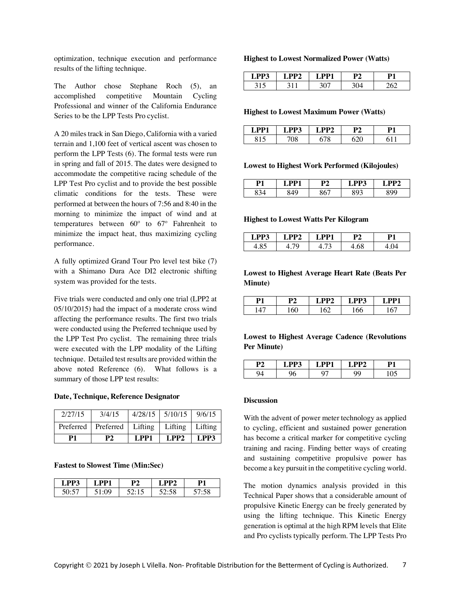optimization, technique execution and performance results of the lifting technique.

The Author chose Stephane Roch (5), an accomplished competitive Mountain Cycling Professional and winner of the California Endurance Series to be the LPP Tests Pro cyclist.

A 20 miles track in San Diego, California with a varied terrain and 1,100 feet of vertical ascent was chosen to perform the LPP Tests (6). The formal tests were run in spring and fall of 2015. The dates were designed to accommodate the competitive racing schedule of the LPP Test Pro cyclist and to provide the best possible climatic conditions for the tests. These were performed at between the hours of 7:56 and 8:40 in the morning to minimize the impact of wind and at temperatures between 60º to 67º Fahrenheit to minimize the impact heat, thus maximizing cycling performance.

A fully optimized Grand Tour Pro level test bike (7) with a Shimano Dura Ace DI2 electronic shifting system was provided for the tests.

Five trials were conducted and only one trial (LPP2 at 05/10/2015) had the impact of a moderate cross wind affecting the performance results. The first two trials were conducted using the Preferred technique used by the LPP Test Pro cyclist. The remaining three trials were executed with the LPP modality of the Lifting technique. Detailed test results are provided within the above noted Reference (6). What follows is a summary of those LPP test results:

### **Date, Technique, Reference Designator**

| 2/27/15 | 3/4/15<br>Preferred   Preferred | Lifting | $4/28/15$ 5/10/15 9/6/15<br>Lifting   Lifting |      |
|---------|---------------------------------|---------|-----------------------------------------------|------|
| P1      | P2                              | LPP1    | LPP2                                          | LPP3 |

#### **Fastest to Slowest Time (Min:Sec)**

|    | ועט ו | D٦ | רסי | Р1  |
|----|-------|----|-----|-----|
| าเ |       |    | 58  | r o |

#### **Highest to Lowest Normalized Power (Watts)**

| D2<br>. . Р | -- | n. | n۰ |
|-------------|----|----|----|
|             |    |    |    |

#### **Highest to Lowest Maximum Power (Watts)**

| $\Box$ PP1 | D3 | ר פרי | D1 |
|------------|----|-------|----|
|            |    |       |    |

### **Lowest to Highest Work Performed (Kilojoules)**

|  | D٥ | P3 | יש |
|--|----|----|----|
|  |    |    |    |

### **Highest to Lowest Watts Per Kilogram**

| DD <sub>2</sub><br>$\mathbf{L}$ $\mathbf{P}$ $\mathbf{P}$ | $\sim$<br>מש | DD 1 | D1 |
|-----------------------------------------------------------|--------------|------|----|
|                                                           |              |      |    |

# **Lowest to Highest Average Heart Rate (Beats Per Minute)**

| רמ | $\sim$ | n A | n4 |
|----|--------|-----|----|
|    |        | ັ   |    |

# **Lowest to Highest Average Cadence (Revolutions Per Minute)**

| m | DD1 - | רסו |  |
|---|-------|-----|--|
|   | ີ     |     |  |

## **Discussion**

With the advent of power meter technology as applied to cycling, efficient and sustained power generation has become a critical marker for competitive cycling training and racing. Finding better ways of creating and sustaining competitive propulsive power has become a key pursuit in the competitive cycling world.

The motion dynamics analysis provided in this Technical Paper shows that a considerable amount of propulsive Kinetic Energy can be freely generated by using the lifting technique. This Kinetic Energy generation is optimal at the high RPM levels that Elite and Pro cyclists typically perform. The LPP Tests Pro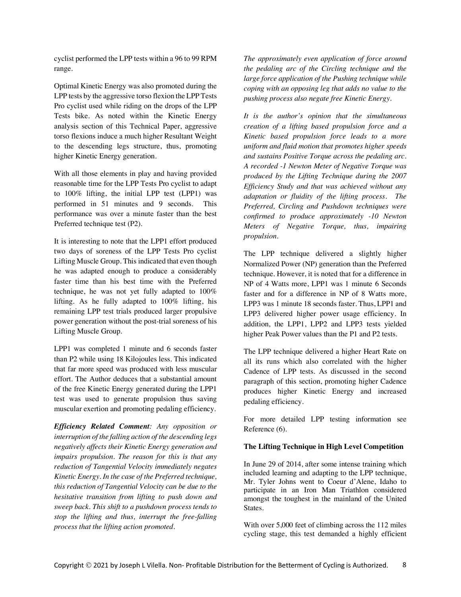cyclist performed the LPP tests within a 96 to 99 RPM range.

Optimal Kinetic Energy was also promoted during the LPP tests by the aggressive torso flexion the LPP Tests Pro cyclist used while riding on the drops of the LPP Tests bike. As noted within the Kinetic Energy analysis section of this Technical Paper, aggressive torso flexions induce a much higher Resultant Weight to the descending legs structure, thus, promoting higher Kinetic Energy generation.

With all those elements in play and having provided reasonable time for the LPP Tests Pro cyclist to adapt to 100% lifting, the initial LPP test (LPP1) was performed in 51 minutes and 9 seconds. This performance was over a minute faster than the best Preferred technique test (P2).

It is interesting to note that the LPP1 effort produced two days of soreness of the LPP Tests Pro cyclist Lifting Muscle Group. This indicated that even though he was adapted enough to produce a considerably faster time than his best time with the Preferred technique, he was not yet fully adapted to 100% lifting. As he fully adapted to 100% lifting, his remaining LPP test trials produced larger propulsive power generation without the post-trial soreness of his Lifting Muscle Group.

LPP1 was completed 1 minute and 6 seconds faster than P2 while using 18 Kilojoules less. This indicated that far more speed was produced with less muscular effort. The Author deduces that a substantial amount of the free Kinetic Energy generated during the LPP1 test was used to generate propulsion thus saving muscular exertion and promoting pedaling efficiency.

*Efficiency Related Comment: Any opposition or interruption of the falling action of the descending legs negatively affects their Kinetic Energy generation and impairs propulsion. The reason for this is that any reduction of Tangential Velocity immediately negates Kinetic Energy. In the case of the Preferred technique, this reduction of Tangential Velocity can be due to the hesitative transition from lifting to push down and sweep back. This shift to a pushdown process tends to stop the lifting and thus, interrupt the free-falling process that the lifting action promoted.*

*The approximately even application of force around the pedaling arc of the Circling technique and the large force application of the Pushing technique while coping with an opposing leg that adds no value to the pushing process also negate free Kinetic Energy.* 

*It is the author's opinion that the simultaneous creation of a lifting based propulsion force and a Kinetic based propulsion force leads to a more uniform and fluid motion that promotes higher speeds and sustains Positive Torque across the pedaling arc. A recorded -1 Newton Meter of Negative Torque was produced by the Lifting Technique during the 2007 Efficiency Study and that was achieved without any adaptation or fluidity of the lifting process. The Preferred, Circling and Pushdown techniques were confirmed to produce approximately -10 Newton Meters of Negative Torque, thus, impairing propulsion.* 

The LPP technique delivered a slightly higher Normalized Power (NP) generation than the Preferred technique. However, it is noted that for a difference in NP of 4 Watts more, LPP1 was 1 minute 6 Seconds faster and for a difference in NP of 8 Watts more, LPP3 was 1 minute 18 seconds faster. Thus, LPP1 and LPP3 delivered higher power usage efficiency. In addition, the LPP1, LPP2 and LPP3 tests yielded higher Peak Power values than the P1 and P2 tests.

The LPP technique delivered a higher Heart Rate on all its runs which also correlated with the higher Cadence of LPP tests. As discussed in the second paragraph of this section, promoting higher Cadence produces higher Kinetic Energy and increased pedaling efficiency.

For more detailed LPP testing information see Reference (6).

# **The Lifting Technique in High Level Competition**

In June 29 of 2014, after some intense training which included learning and adapting to the LPP technique, Mr. Tyler Johns went to Coeur d'Alene, Idaho to participate in an Iron Man Triathlon considered amongst the toughest in the mainland of the United States.

With over 5,000 feet of climbing across the 112 miles cycling stage, this test demanded a highly efficient